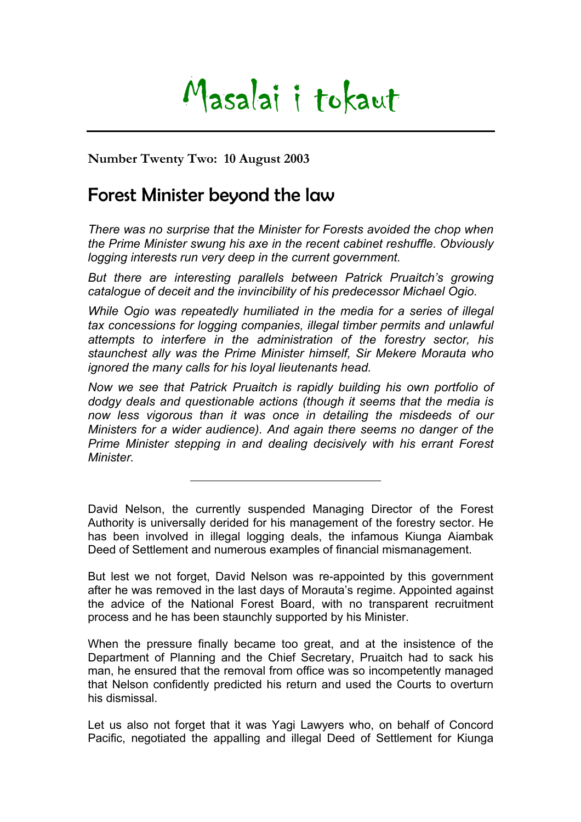## Masalai i tokaut

**Number Twenty Two: 10 August 2003** 

## Forest Minister beyond the law

*There was no surprise that the Minister for Forests avoided the chop when the Prime Minister swung his axe in the recent cabinet reshuffle. Obviously logging interests run very deep in the current government.* 

But there are interesting parallels between Patrick Pruaitch's growing *catalogue of deceit and the invincibility of his predecessor Michael Ogio.* 

*While Ogio was repeatedly humiliated in the media for a series of illegal tax concessions for logging companies, illegal timber permits and unlawful attempts to interfere in the administration of the forestry sector, his staunchest ally was the Prime Minister himself, Sir Mekere Morauta who ignored the many calls for his loyal lieutenants head.* 

*Now we see that Patrick Pruaitch is rapidly building his own portfolio of dodgy deals and questionable actions (though it seems that the media is now less vigorous than it was once in detailing the misdeeds of our Ministers for a wider audience). And again there seems no danger of the Prime Minister stepping in and dealing decisively with his errant Forest Minister.* 

David Nelson, the currently suspended Managing Director of the Forest Authority is universally derided for his management of the forestry sector. He has been involved in illegal logging deals, the infamous Kiunga Aiambak Deed of Settlement and numerous examples of financial mismanagement.

But lest we not forget, David Nelson was re-appointed by this government after he was removed in the last days of Morauta's regime. Appointed against the advice of the National Forest Board, with no transparent recruitment process and he has been staunchly supported by his Minister.

When the pressure finally became too great, and at the insistence of the Department of Planning and the Chief Secretary, Pruaitch had to sack his man, he ensured that the removal from office was so incompetently managed that Nelson confidently predicted his return and used the Courts to overturn his dismissal.

Let us also not forget that it was Yagi Lawyers who, on behalf of Concord Pacific, negotiated the appalling and illegal Deed of Settlement for Kiunga